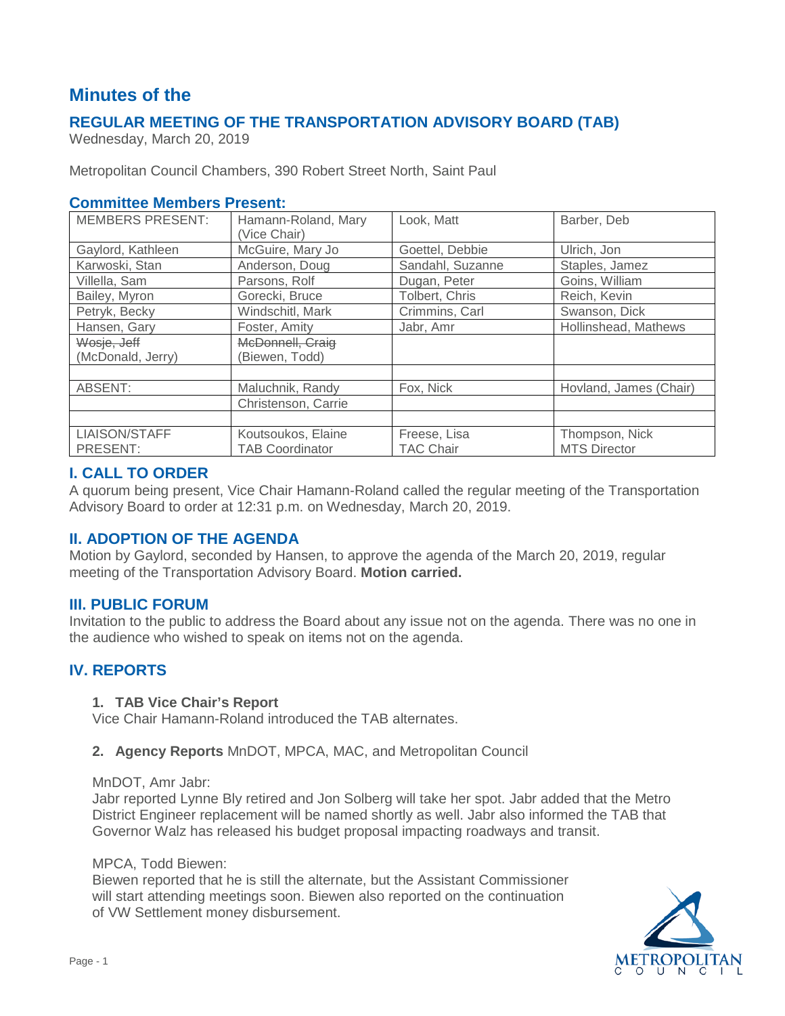# **Minutes of the**

# **REGULAR MEETING OF THE TRANSPORTATION ADVISORY BOARD (TAB)**

Wednesday, March 20, 2019

Metropolitan Council Chambers, 390 Robert Street North, Saint Paul

### **Committee Members Present:**

| <b>MEMBERS PRESENT:</b> | Hamann-Roland, Mary<br>(Vice Chair) | Look, Matt       | Barber, Deb            |
|-------------------------|-------------------------------------|------------------|------------------------|
| Gaylord, Kathleen       | McGuire, Mary Jo                    | Goettel, Debbie  | Ulrich, Jon            |
| Karwoski, Stan          | Anderson, Doug                      | Sandahl, Suzanne | Staples, Jamez         |
| Villella, Sam           | Parsons, Rolf                       | Dugan, Peter     | Goins, William         |
| Bailey, Myron           | Gorecki, Bruce                      | Tolbert, Chris   | Reich, Kevin           |
| Petryk, Becky           | Windschitl, Mark                    | Crimmins, Carl   | Swanson, Dick          |
| Hansen, Gary            | Foster, Amity                       | Jabr, Amr        | Hollinshead, Mathews   |
| Wosje, Jeff             | McDonnell, Craig                    |                  |                        |
| (McDonald, Jerry)       | (Biewen, Todd)                      |                  |                        |
|                         |                                     |                  |                        |
| ABSENT:                 | Maluchnik, Randy                    | Fox, Nick        | Hovland, James (Chair) |
|                         | Christenson, Carrie                 |                  |                        |
|                         |                                     |                  |                        |
| LIAISON/STAFF           | Koutsoukos, Elaine                  | Freese, Lisa     | Thompson, Nick         |
| PRESENT:                | <b>TAB Coordinator</b>              | <b>TAC Chair</b> | <b>MTS Director</b>    |

# **I. CALL TO ORDER**

A quorum being present, Vice Chair Hamann-Roland called the regular meeting of the Transportation Advisory Board to order at 12:31 p.m. on Wednesday, March 20, 2019.

# **II. ADOPTION OF THE AGENDA**

Motion by Gaylord, seconded by Hansen, to approve the agenda of the March 20, 2019, regular meeting of the Transportation Advisory Board. **Motion carried.**

### **III. PUBLIC FORUM**

Invitation to the public to address the Board about any issue not on the agenda. There was no one in the audience who wished to speak on items not on the agenda.

# **IV. REPORTS**

#### **1. TAB Vice Chair's Report**

Vice Chair Hamann-Roland introduced the TAB alternates.

### **2. Agency Reports** MnDOT, MPCA, MAC, and Metropolitan Council

MnDOT, Amr Jabr:

Jabr reported Lynne Bly retired and Jon Solberg will take her spot. Jabr added that the Metro District Engineer replacement will be named shortly as well. Jabr also informed the TAB that Governor Walz has released his budget proposal impacting roadways and transit.

#### MPCA, Todd Biewen:

Biewen reported that he is still the alternate, but the Assistant Commissioner will start attending meetings soon. Biewen also reported on the continuation of VW Settlement money disbursement.

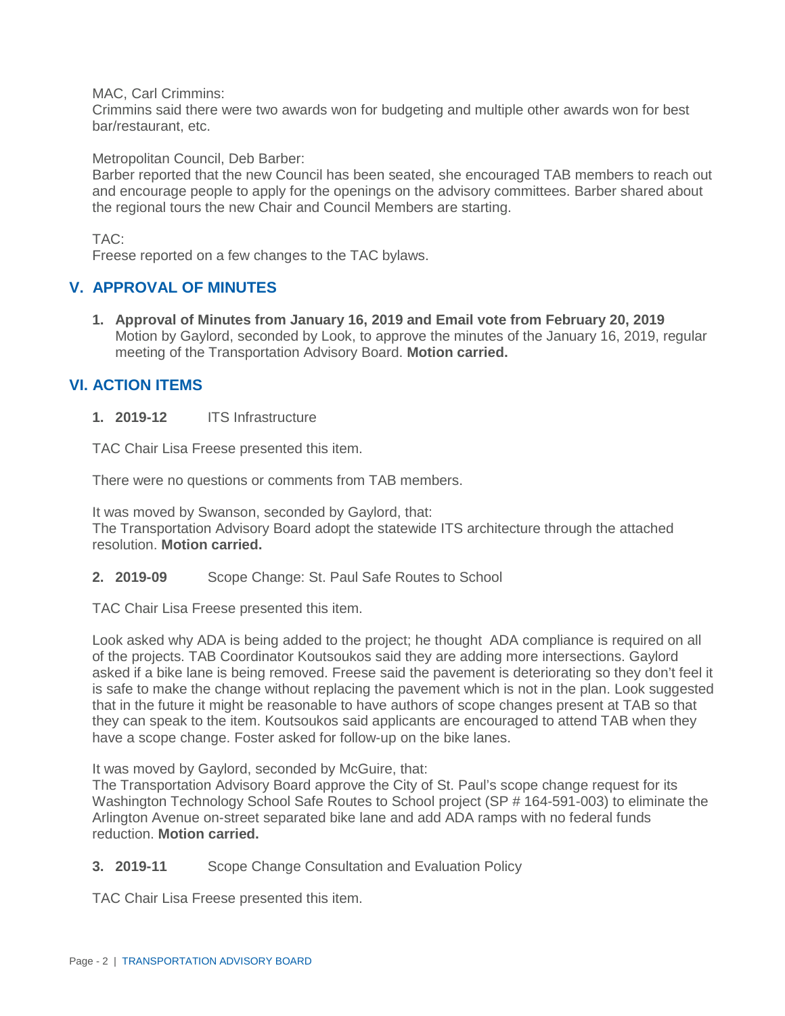MAC, Carl Crimmins:

Crimmins said there were two awards won for budgeting and multiple other awards won for best bar/restaurant, etc.

Metropolitan Council, Deb Barber:

Barber reported that the new Council has been seated, she encouraged TAB members to reach out and encourage people to apply for the openings on the advisory committees. Barber shared about the regional tours the new Chair and Council Members are starting.

TAC:

Freese reported on a few changes to the TAC bylaws.

# **V. APPROVAL OF MINUTES**

**1. Approval of Minutes from January 16, 2019 and Email vote from February 20, 2019** Motion by Gaylord, seconded by Look, to approve the minutes of the January 16, 2019, regular meeting of the Transportation Advisory Board. **Motion carried.**

# **VI. ACTION ITEMS**

**1. 2019-12** ITS Infrastructure

TAC Chair Lisa Freese presented this item.

There were no questions or comments from TAB members.

It was moved by Swanson, seconded by Gaylord, that: The Transportation Advisory Board adopt the statewide ITS architecture through the attached resolution. **Motion carried.**

**2. 2019-09** Scope Change: St. Paul Safe Routes to School

TAC Chair Lisa Freese presented this item.

Look asked why ADA is being added to the project; he thought ADA compliance is required on all of the projects. TAB Coordinator Koutsoukos said they are adding more intersections. Gaylord asked if a bike lane is being removed. Freese said the pavement is deteriorating so they don't feel it is safe to make the change without replacing the pavement which is not in the plan. Look suggested that in the future it might be reasonable to have authors of scope changes present at TAB so that they can speak to the item. Koutsoukos said applicants are encouraged to attend TAB when they have a scope change. Foster asked for follow-up on the bike lanes.

It was moved by Gaylord, seconded by McGuire, that:

The Transportation Advisory Board approve the City of St. Paul's scope change request for its Washington Technology School Safe Routes to School project (SP # 164-591-003) to eliminate the Arlington Avenue on-street separated bike lane and add ADA ramps with no federal funds reduction. **Motion carried.**

### **3. 2019-11** Scope Change Consultation and Evaluation Policy

TAC Chair Lisa Freese presented this item.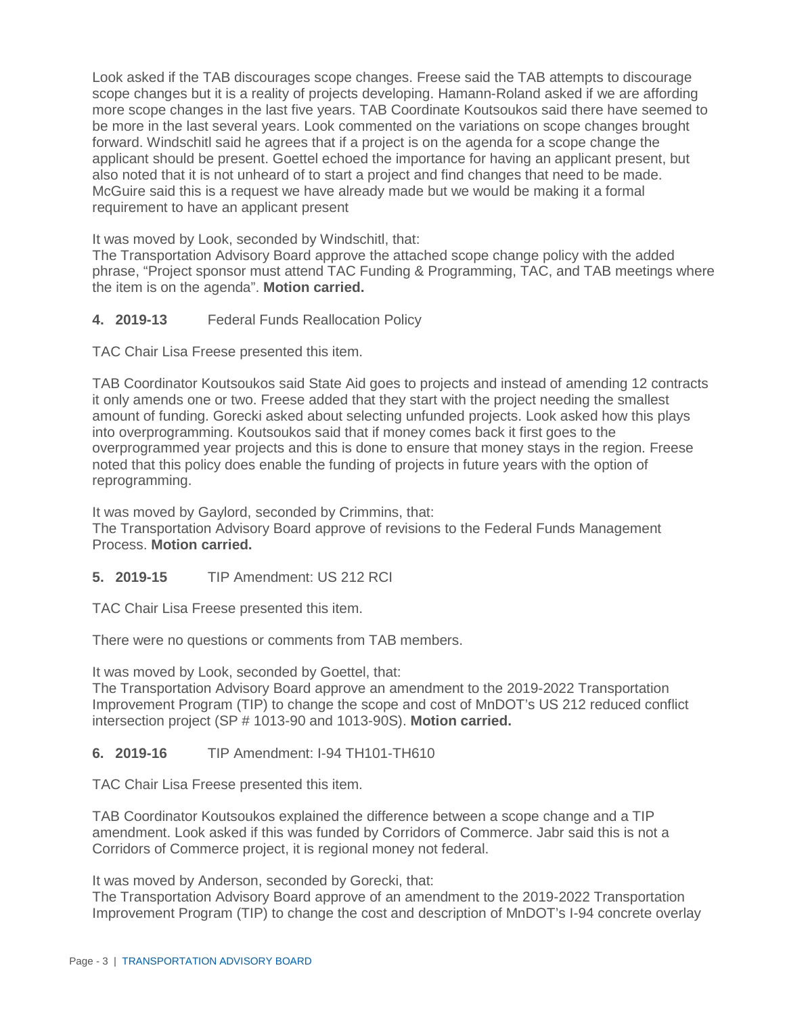Look asked if the TAB discourages scope changes. Freese said the TAB attempts to discourage scope changes but it is a reality of projects developing. Hamann-Roland asked if we are affording more scope changes in the last five years. TAB Coordinate Koutsoukos said there have seemed to be more in the last several years. Look commented on the variations on scope changes brought forward. Windschitl said he agrees that if a project is on the agenda for a scope change the applicant should be present. Goettel echoed the importance for having an applicant present, but also noted that it is not unheard of to start a project and find changes that need to be made. McGuire said this is a request we have already made but we would be making it a formal requirement to have an applicant present

It was moved by Look, seconded by Windschitl, that:

The Transportation Advisory Board approve the attached scope change policy with the added phrase, "Project sponsor must attend TAC Funding & Programming, TAC, and TAB meetings where the item is on the agenda". **Motion carried.**

**4. 2019-13** Federal Funds Reallocation Policy

TAC Chair Lisa Freese presented this item.

TAB Coordinator Koutsoukos said State Aid goes to projects and instead of amending 12 contracts it only amends one or two. Freese added that they start with the project needing the smallest amount of funding. Gorecki asked about selecting unfunded projects. Look asked how this plays into overprogramming. Koutsoukos said that if money comes back it first goes to the overprogrammed year projects and this is done to ensure that money stays in the region. Freese noted that this policy does enable the funding of projects in future years with the option of reprogramming.

It was moved by Gaylord, seconded by Crimmins, that: The Transportation Advisory Board approve of revisions to the Federal Funds Management Process. **Motion carried.**

### **5. 2019-15** TIP Amendment: US 212 RCI

TAC Chair Lisa Freese presented this item.

There were no questions or comments from TAB members.

It was moved by Look, seconded by Goettel, that:

The Transportation Advisory Board approve an amendment to the 2019-2022 Transportation Improvement Program (TIP) to change the scope and cost of MnDOT's US 212 reduced conflict intersection project (SP # 1013-90 and 1013-90S). **Motion carried.**

### **6. 2019-16** TIP Amendment: I-94 TH101-TH610

TAC Chair Lisa Freese presented this item.

TAB Coordinator Koutsoukos explained the difference between a scope change and a TIP amendment. Look asked if this was funded by Corridors of Commerce. Jabr said this is not a Corridors of Commerce project, it is regional money not federal.

It was moved by Anderson, seconded by Gorecki, that:

The Transportation Advisory Board approve of an amendment to the 2019-2022 Transportation Improvement Program (TIP) to change the cost and description of MnDOT's I-94 concrete overlay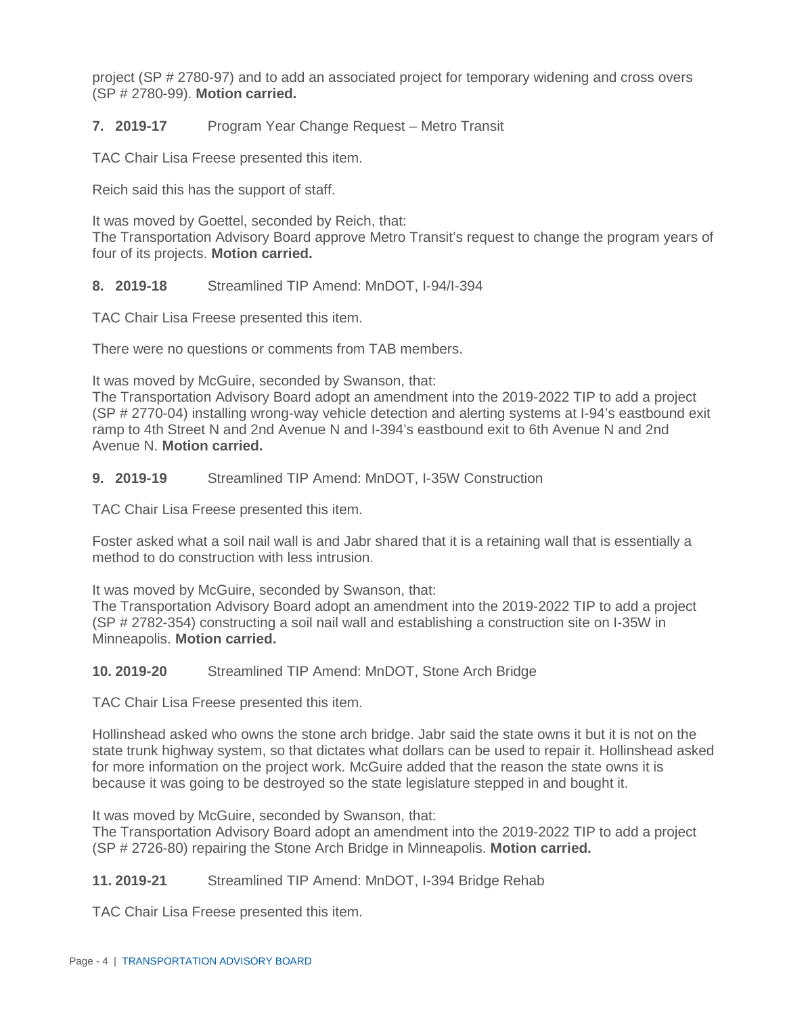project (SP # 2780-97) and to add an associated project for temporary widening and cross overs (SP # 2780-99). **Motion carried.**

### **7. 2019-17** Program Year Change Request – Metro Transit

TAC Chair Lisa Freese presented this item.

Reich said this has the support of staff.

It was moved by Goettel, seconded by Reich, that: The Transportation Advisory Board approve Metro Transit's request to change the program years of four of its projects. **Motion carried.**

#### **8. 2019-18** Streamlined TIP Amend: MnDOT, I-94/I-394

TAC Chair Lisa Freese presented this item.

There were no questions or comments from TAB members.

It was moved by McGuire, seconded by Swanson, that:

The Transportation Advisory Board adopt an amendment into the 2019-2022 TIP to add a project (SP # 2770-04) installing wrong-way vehicle detection and alerting systems at I-94's eastbound exit ramp to 4th Street N and 2nd Avenue N and I-394's eastbound exit to 6th Avenue N and 2nd Avenue N. **Motion carried.**

#### **9. 2019-19** Streamlined TIP Amend: MnDOT, I-35W Construction

TAC Chair Lisa Freese presented this item.

Foster asked what a soil nail wall is and Jabr shared that it is a retaining wall that is essentially a method to do construction with less intrusion.

It was moved by McGuire, seconded by Swanson, that:

The Transportation Advisory Board adopt an amendment into the 2019-2022 TIP to add a project (SP # 2782-354) constructing a soil nail wall and establishing a construction site on I-35W in Minneapolis. **Motion carried.**

#### **10. 2019-20** Streamlined TIP Amend: MnDOT, Stone Arch Bridge

TAC Chair Lisa Freese presented this item.

Hollinshead asked who owns the stone arch bridge. Jabr said the state owns it but it is not on the state trunk highway system, so that dictates what dollars can be used to repair it. Hollinshead asked for more information on the project work. McGuire added that the reason the state owns it is because it was going to be destroyed so the state legislature stepped in and bought it.

It was moved by McGuire, seconded by Swanson, that:

The Transportation Advisory Board adopt an amendment into the 2019-2022 TIP to add a project (SP # 2726-80) repairing the Stone Arch Bridge in Minneapolis. **Motion carried.**

### **11. 2019-21** Streamlined TIP Amend: MnDOT, I-394 Bridge Rehab

TAC Chair Lisa Freese presented this item.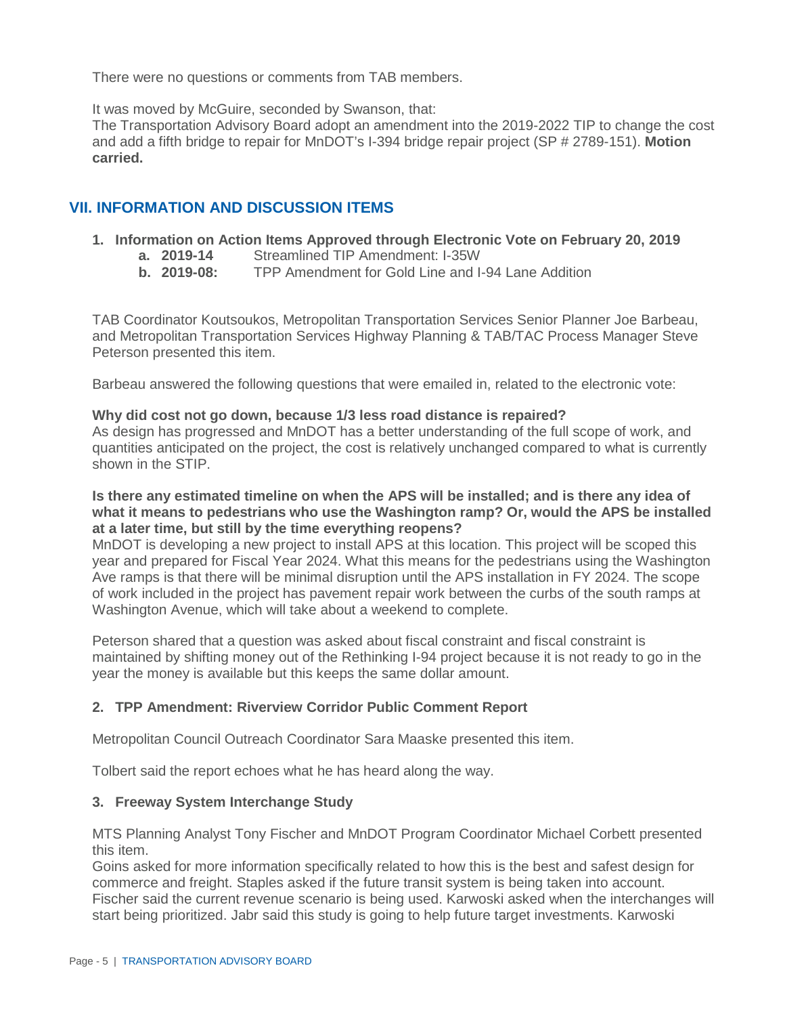There were no questions or comments from TAB members.

It was moved by McGuire, seconded by Swanson, that:

The Transportation Advisory Board adopt an amendment into the 2019-2022 TIP to change the cost and add a fifth bridge to repair for MnDOT's I-394 bridge repair project (SP # 2789-151). **Motion carried.**

# **VII. INFORMATION AND DISCUSSION ITEMS**

- **1. Information on Action Items Approved through Electronic Vote on February 20, 2019**
	- **a. 2019-14** Streamlined TIP Amendment: I-35W
	- **TPP Amendment for Gold Line and I-94 Lane Addition**

TAB Coordinator Koutsoukos, Metropolitan Transportation Services Senior Planner Joe Barbeau, and Metropolitan Transportation Services Highway Planning & TAB/TAC Process Manager Steve Peterson presented this item.

Barbeau answered the following questions that were emailed in, related to the electronic vote:

#### **Why did cost not go down, because 1/3 less road distance is repaired?**

As design has progressed and MnDOT has a better understanding of the full scope of work, and quantities anticipated on the project, the cost is relatively unchanged compared to what is currently shown in the STIP.

#### **Is there any estimated timeline on when the APS will be installed; and is there any idea of what it means to pedestrians who use the Washington ramp? Or, would the APS be installed at a later time, but still by the time everything reopens?**

MnDOT is developing a new project to install APS at this location. This project will be scoped this year and prepared for Fiscal Year 2024. What this means for the pedestrians using the Washington Ave ramps is that there will be minimal disruption until the APS installation in FY 2024. The scope of work included in the project has pavement repair work between the curbs of the south ramps at Washington Avenue, which will take about a weekend to complete.

Peterson shared that a question was asked about fiscal constraint and fiscal constraint is maintained by shifting money out of the Rethinking I-94 project because it is not ready to go in the year the money is available but this keeps the same dollar amount.

### **2. TPP Amendment: Riverview Corridor Public Comment Report**

Metropolitan Council Outreach Coordinator Sara Maaske presented this item.

Tolbert said the report echoes what he has heard along the way.

### **3. Freeway System Interchange Study**

MTS Planning Analyst Tony Fischer and MnDOT Program Coordinator Michael Corbett presented this item.

Goins asked for more information specifically related to how this is the best and safest design for commerce and freight. Staples asked if the future transit system is being taken into account. Fischer said the current revenue scenario is being used. Karwoski asked when the interchanges will start being prioritized. Jabr said this study is going to help future target investments. Karwoski